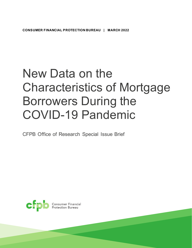# New Data on the Characteristics of Mortgage Borrowers During the COVID-19 Pandemic

CFPB Office of Research Special Issue Brief

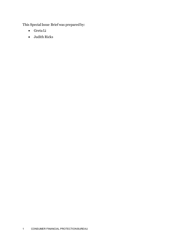This Special Issue Brief was prepared by:

- Greta Li
- Judith Ricks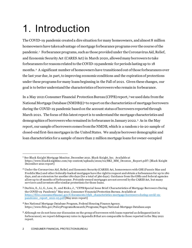# 1. Introduction

The COVID-19 pandemic created a dire situation for many homeowners, andalmost 8 million homeowners have taken advantage of mortgage forbearance programs over the course of the pandemic. [1](#page-2-0) Forbearance programs, such as those provided under the Coronavirus Aid, Relief, and Economic Security Act (CARES Act) in March 2020, allowed many borrowers to take forbearances for reasons related to theCOVID-19 pandemic for periods lasting up to 18 months.[2](#page-2-1) A significant number of homeowners have transitioned out of those forbearances over the last year due, in part, to improving economic conditions and the expiration of protections under these programs for many loans beginning in the Fall of 2021. Given these changes, our goal is to better understandthe characteristics of borrowers who remainin forbearance.

In a May 2021 Consumer Financial Protection Bureau(CFPB) report,[3](#page-2-2)we used data from the National Mortgage Database (NMDB®)[4](#page-2-3) to report on the characteristics of mortgage borrowers during the COVID-19 pandemic based on the account status of borrowers reported through March 2021. The focus of this latest report is to understand the mortgage characteristics and demographics of borrowers who remained in forbearance in January 2022. [5](#page-2-4) As in the May report, our sample of borrowers comes from the NMDB, which is a random 1-in-20 sample of closed-end first-lien mortgages in the United States. We analyze borrower demographic and loan characteristics for a sample of more than 2 million mortgage loans for owner-occupied

<span id="page-2-0"></span><sup>1</sup> See Black Knight Mortgage Monitor, December 2021. Black Knight, Inc. Available at https://www.blackknightinc.com/wp-content/uploads/2022/02/BKI\_MM\_Dec2021\_Report.pdf?. [Black Knight December 2021 report]

<span id="page-2-1"></span><sup>2</sup> Under the Coronavirus Aid, Relief, and Economic Security (CARES) Act, homeowners with GSE (Fannie Mae and Freddie Mac) and other federally-backed mortgages have the right to request and obtain a forbearance for up to 180 days, and an extension for another 180 days (for a total of 360 days). Guidance from the GSEs and federal agencies allow up to 18 months of forbearance. Privately-owned mortgages are not covered by the CARES Act, but many servicers and investors offer similar protections for those loans.

<span id="page-2-2"></span><sup>3</sup> Durbin, E., Li, G., Low, D., and Ricks, J., "CFPB Special Issue Brief: Characteristics of Mortgage Borrowers During the COVID-19 Pandemic" May 2021. Consumer Financial Protection Bureau. Available at [https://files.consumerfinance.gov/f/documents/cfpb\\_characteristics-mortgage-borrowers-during-covid-19](https://files.consumerfinance.gov/f/documents/cfpb_characteristics-mortgage-borrowers-during-covid-19-pandemic_report_2021-05.pdf) [pandemic\\_report\\_2021-05.pdf](https://files.consumerfinance.gov/f/documents/cfpb_characteristics-mortgage-borrowers-during-covid-19-pandemic_report_2021-05.pdf)[May 2021 report]

<span id="page-2-3"></span><sup>4</sup> See National Mortgage Database Program, Federal Housing Finance Agency. https://www.fhfa.gov/PolicyProgramsResearch/Programs/Pages/National-Mortgage-Database.aspx

<span id="page-2-4"></span><sup>5</sup> Although we do not focus our discussion on the group of borrowers with loans reported as delinquent (not in forbearance), we report delinquency rates in Appendix B that are comparable to those reported in the May 2021 report.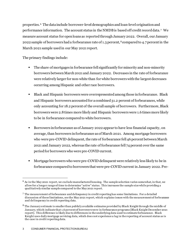properties.[6](#page-3-0) The data include borrower-level demographics and loan-level origination and performance information. The account status in the NMDB is based off credit record data. [7](#page-3-1) We measure account status for open loans as reported throughJanuary 2022. Overall, our January 2022 sample of borrowers had a forbearance rate of 1.3 percent,<sup>[8](#page-3-2)</sup> compared to 4.7 percent in the March 2021 sample used in our May 2021 report.

The primary findings include:

- The share of mortgages in forbearance fell significantly for minority and non-minority borrowers between March 2021 and January 2022. Decreases in the rate of forbearance were relatively larger for non-white than for white borrowers with the largest decreases occurring among Hispanic and other race borrowers.
- Black and Hispanic borrowers were overrepresented among those in forbearance. Black and Hispanic borrowers accounted for a combined 31.2 percent of forbearances, while only accounting for 18.2 percent of the overall sample of borrowers. Furthermore, Black borrowers were 2.8times more likely and Hispanic borrowers were 1.6 times more likely to be in forbearance compared to white borrowers.
- Borrowers in forbearance as of January 2022 appear to have less financial capacity, on average, than borrowers in forbearance as of March 2021. Among mortgage borrowers who were pre-COVID delinquent, the rate of forbearance fell 46 percent between March 2021 and January 2022, whereas the rate of forbearance fell 74 percent over the same period for borrowers who were pre-COVID current.
- Mortgage borrowers who were pre-COVID delinquent were relatively less likely to be in forbearance compared to borrowers that were pre-COVID current in January 2022. Pre-

<span id="page-3-0"></span><sup>6</sup> As in the May 2021 report, we exclude manufactured housing. The sample selection varies somewhat, in that, we allow for a longer range of time to determine "active" status. This increases the sample size while providing a qualitatively similar sample compared to the May 2021 report.

<span id="page-3-1"></span><sup>7</sup> The measurement of forbearance and delinquency in credit reporting has some limitations. For a detailed discussion of these limitations, see the May 2021 report, which explains issues with the measurement of forbearance and delinquency in credit reporting data.

<span id="page-3-2"></span><sup>8</sup> The January estimate is smaller than publicly available estimates provided by Black Knight through the middle of January, which indicate that 1.6 percent of borrowers were in forbearance programs [Black Knight December 2021 report]. This difference is likely due to differences in the underlying data used to estimate forbearance. Black Knight uses daily mortgage servicing data, which does not experience a lag in the reporting of account status as is the case in credit reporting data.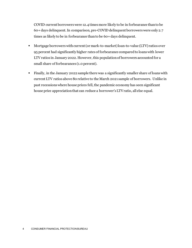COVID current borrowers were 12.4 times more likely to be in forbearance than to be 60+ days delinquent. In comparison, pre-COVID delinquent borrowers were only 2.7 times as likely to be in forbearance than to be 60+ days delinquent.

- Mortgage borrowers with current (or mark-to-market)loan-to-value (LTV) ratios over 95 percent had significantly higher rates of forbearance compared to loans with lower LTV ratios in January 2022. However, this population of borrowers accounted for a small share of forbearances (1.0 percent).
- Finally, in the January 2022 sample there was a significantly smaller share of loans with current LTV ratios above 80 relative to the March 2021 sample of borrowers. Unlike in past recessions where house prices fell, the pandemic economy has seen significant house price appreciationthat can reduce a borrower's LTV ratio, all else equal.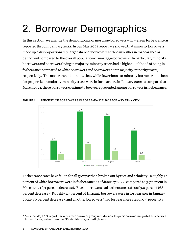# 2. Borrower Demographics

In this section, we analyze the demographics of mortgage borrowers who were in forbearance as reported through January 2022. In our May 2021 report, we showed that minority borrowers made up a disproportionately larger share of borrowers with loans either in forbearance or delinquent compared to the overall population of mortgage borrowers. In particular, minority borrowers and borrowers living in majority-minority tracts had a higher likelihood of being in forbearance compared to white borrowers and borrowers not in majority-minority tracts, respectively. The most recent data show that, while fewer loans to minority borrowers and loans for properties in majority-minority tracts were in forbearance in January 2022 as compared to March 2021, these borrowers continue to be overrepresented among borrowers in forbearance.



**FIGURE 1:** PERCENT OF BORROWERS IN FORBEARANCE BY RACE AND ETHNICITY

Forbearance rates have fallen for all groups when broken out by race and ethnicity. Roughly 1.1 percent of white borrowers were in forbearance as of January 2022, compared to 3.7 percent in March 2021 (71 percent decrease). Black borrowers had forbearance rates of 3.0 percent (68 percent decrease). Roughly 1.7 percent of Hispanic borrowers were in forbearance in January 2022 (80 percent decrease), and all other borrowers[9](#page-5-0)had forbearance rates of 0.9 percent (84

<span id="page-5-0"></span><sup>9</sup> As in the May 2021 report, the other race borrower group includes non-Hispanic borrowers reported as American Indian, Asian, Native Hawaiian/Pacific Islander, or multiple races.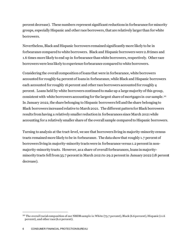percent decrease). These numbers represent significant reductions in forbearance for minority groups, especially Hispanic and other race borrowers, that are relatively larger than for white borrowers.

Nevertheless, Black and Hispanic borrowers remained significantly more likely to be in forbearance compared to white borrowers. Black and Hispanic borrowers were 2.8 times and 1.6 times more likely to end up in forbearance than white borrowers, respectively. Other race borrowers were less likely to experience forbearance compared to white borrowers.

Considering the overall composition of loans that were in forbearance, white borrowers accounted for roughly 64 percent of loans in forbearance, while Black and Hispanic borrowers each accounted for roughly 16 percent and other race borrowers accountedfor roughly 4 percent. Loans held by white borrowers continued to make up a large majority of this group, consistent with white borrowers accounting for the largest share of mortgages in our sample. [10](#page-6-0) In January 2022, the share belonging to Hispanic borrowers fell and the share belonging to Black borrowers increased relative to March 2021. The different pattern for Black borrowers results from having a relatively smaller reduction in forbearances since March 2021while accounting for a relatively smaller share of the overall sample compared to Hispanic borrowers.

Turning to analysis at the tract-level, we see that borrowers living in majority-minority census tracts remained more likely to be in forbearance. The data showthat roughly 1.7 percent of borrowers living in majority-minority tracts were in forbearance versus 1.2 percent in nonmajority-minority tracts. However, as a share of overall forbearances, loans in majorityminority tracts fell from 35.7 percent in March 2021 to 29.2 percent in January 2022 (18 percent decrease).

<span id="page-6-0"></span><sup>&</sup>lt;sup>10</sup> The overall racial composition of our NMDB sample is: White (75.7 percent), Black (6.6 percent), Hispanic (11.6 percent), and other race (6.0 percent).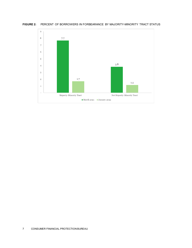

**FIGURE 2:** PERCENT OF BORROWERS IN FORBEARANCE BY MAJORITY-MINORITY TRACT STATUS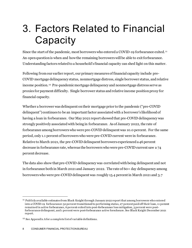## 3. Factors Related to Financial **Capacity**

Since the start of the pandemic, most borrowers who entered a COVID-19 forbearance exited.<sup>[11](#page-8-0)</sup> An open question is when and how the remaining borrowers will be able to exit forbearance. Understanding factors related to a household's financial capacity can shed light on this matter.

Following from our earlier report, our primary measures of financial capacity include pre-COVID mortgage delinquency status, nonmortgage distress, single borrower status, and relative income position. [12](#page-8-1) Pre-pandemic mortgage delinquency and nonmortgage distress serve as proxies for payment difficulty. Single borrower status and relative income position proxy for financial capacity.

Whether a borrower was delinquent on their mortgage prior to the pandemic ("pre-COVID delinquent") continues to be an important factor associated with a borrower's likelihood of having a loan in forbearance. Our May 2021 report showed that pre-COVID delinquency was strongly positively associated with being in forbearance. As of January 2022, the rate of forbearance among borrowers who were pre-COVID delinquent was 10.0 percent. For the same period, only 1.1 percent of borrowers who were pre-COVID current were in forbearance. Relative to March 2021, the pre-COVID delinquent borrowers experienced a 46 percent decrease in forbearance rate, whereas the borrowers who were pre-COVID current saw a 74 percent decrease.

The data also show that pre-COVID delinquency was correlated with being delinquent and not in forbearance both in March 2021 and January 2022. The rate of 60+ day delinquency among borrowerswho were pre-COVID delinquent was roughly 15.4 percent in March 2021 and 3.7

<span id="page-8-0"></span><sup>11</sup> Publicly available estimates from Black Knight through January 2022 report that among borrowers who entered into a COVID-19 forbearance: 52 percent transitioned to performing status, 27 percent paid off their loan, 11 percent remained in active forbearance, 6 percent exited into post-forbearance loss mitigation, 3 percent were postforbearance delinquent, and 1 percent were post-forbearance active foreclosure. See Black Knight December 2021 report.

<span id="page-8-1"></span><sup>&</sup>lt;sup>12</sup> See Appendix A for a complete list of variable definitions.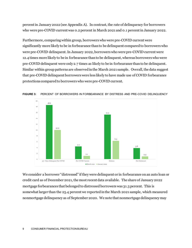percent in January 2022 (see Appendix A). In contrast, the rate of delinquency for borrowers who were pre-COVID current was 0.2 percent in March 2021 and 0.1 percent in January 2022.

Furthermore, comparing within group, borrowers who were pre-COVID current were significantly more likely to be in forbearance than to be delinquent compared to borrowers who were pre-COVID delinquent. In January 2022, borrowers who were pre-COVID current were 12.4 times more likely to be in forbearance than to be delinquent, whereasborrowers who were pre-COVID delinquent were only 2.7 times as likely to be in forbearance than to be delinquent. Similar within group patterns are observed in the March 2021 sample. Overall, the data suggest that pre-COVID delinquent borrowers were less likely to have made use of COVID forbearance protections compared to borrowers who were pre-COVID current.





We consider a borrower "distressed" if they were delinquent or in forbearance on an auto loan or credit card as of December 2021, the most recent data available. The share of January 2022 mortgage forbearances that belonged to distressed borrowers was 31.3 percent. This is somewhat larger than the 25.4 percent we reported in the March 2021 sample, which measured nonmortgage delinquency as of September 2020. We note that nonmortgage delinquency may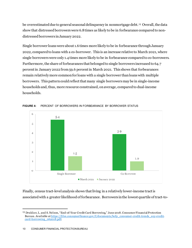be overestimated due to general seasonal delinquency in nonmortgage debt. [13](#page-10-0) Overall, the data show that distressed borrowers were 6.8times as likely to be in forbearance compared to nondistressed borrowers in January 2022.

Single borrower loans were about 1.6 times more likely to be in forbearance through January 2022, compared to loans with a co-borrower. This is an increase relative to March 2021, where single borrowers were only 1.4 times more likely to be in forbearance compared to co-borrowers. Furthermore, the share of forbearances that belonged to single borrowers increased to 64.7 percent in January 2022 from 59.6 percent in March 2021. This shows that forbearances remain relatively more common for loans with a single borrower than loans with multiple borrowers. This pattern could reflect that many single borrowers may be in single-income households and, thus, more resource constrained, on average, compared to dual-income households.





Finally, census tract-level analysis shows that living in a relatively lower-income tract is associated with a greater likelihood of forbearance. Borrowers in the lowest quartile of tract-to-

<span id="page-10-0"></span><sup>&</sup>lt;sup>13</sup> Drukker, L. and S. Nelson, "End-of-Year Credit Card Borrowing," June 2018. Consumer Financial Protection Bureau. Available a[t https://files.consumerfinance.gov/f/documents/bcfp\\_consumer-credit-trends\\_eoy-credit](https://files.consumerfinance.gov/f/documents/bcfp_consumer-credit-trends_eoy-credit-card-borrowing_062018.pdf)[card-borrowing\\_062018.pdf](https://files.consumerfinance.gov/f/documents/bcfp_consumer-credit-trends_eoy-credit-card-borrowing_062018.pdf).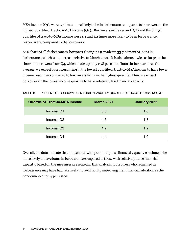MSA income (Q1), were 1.7 times more likely to be in forbearance compared to borrowers in the highest quartile of tract-to-MSA income (Q4). Borrowers in the second (Q2) and third (Q3) quartiles of tract-to-MSA income were 1.4 and 1.2 times more likely to be in forbearance, respectively, compared to Q4 borrowers.

As a share of all forbearances, borrowers living in Q1 made up 33.7 percent of loans in forbearance, which is an increase relative to March 2021. It is also almost twice as large as the share of borrowers from Q4, which made up only 17.8 percent of loans in forbearance. On average, we expect borrowers living in the lowest quartile of tract-to-MSA income to have fewer income resources compared to borrowers living in the highest quartile. Thus, we expect borrowers in the lowestincome quartile to have relatively less financial capacity.

| <b>Quartile of Tract-to-MSA Income</b> | <b>March 2021</b> | January 2022 |
|----------------------------------------|-------------------|--------------|
| Income: Q1                             | 5.5               | 1.6          |
| Income: Q2                             | 4.5               | 1.3          |
| Income: Q3                             | 4.2               | 1.2          |
| Income: Q4                             | 4.4               | 1.0          |

**TABLE 1:** PERCENT OF BORROWERS IN FORBEARANCE BY QUARTILE OF TRACT-TO-MSA INCOME

Overall, the data indicate that households with potentially less financial capacity continue to be more likely to have loans in forbearance compared to those with relatively more financial capacity, based on the measures presented in this analysis. Borrowers who remained in forbearance may have had relatively more difficulty improving their financial situation as the pandemic economy persisted.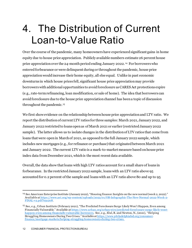### 4. The Distribution of Current Loan-to-Value Ratio

Over the course of the pandemic, many homeowners have experienced significant gains in home equity due to house price appreciation. Publicly available numbers estimate 26 percent house price appreciation over the 24-month period ending January 2022. [14](#page-12-0) For borrowers who enteredforbearance or were delinquent during or throughout the pandemic, house price appreciation would increase their home equity, all else equal. Unlike in past economic downturns in which house prices fell, significant house price appreciation may provide borrowers with additional opportunities to avoid foreclosure as CARES Act protections expire (e.g., rate-term refinancing, loan modification, or sale of home). The idea that borrowers can avoid foreclosure due to the house price appreciation channel has been a topic of discussion throughout the pandemic. [15](#page-12-1)

We first show evidence on the relationship between house price appreciation and LTV ratio. We report the distribution of current LTV ratios for three samples: March 2021, January 2022, and January 2022 restricted to loans open as of March 2021 or earlier (restricted January 2022 sample). The latter allows us to isolate changes in the distribution of LTV ratios that come from loans that were open in March of 2021, as opposed to the full January 2022 sample, which includes new mortgages (e.g., for refinance or purchase) that originated between March 2021 and January 2022. The current LTV ratio is a mark-to-market measure based on house price index data from December 2021, which is the most recent data available.

Overall, the data show that loans with high LTV ratios account for a small share of loans in forbearance. In the restricted January 2022 sample, loans with an LTV ratio above 95 accounted for 0.2 percent of the sample and loans with an LTV ratio above 80 and up to 95

<span id="page-12-0"></span><sup>14</sup> See American Enterprise Institute (January 2022), "Housing finance: Insights on the new normal (week 2, 2022)." Available a[t https://www.aei.org/wp-content/uploads/2022/01/OB-Infographic-The-New-Normal-2022-Week-2-](https://www.aei.org/wp-content/uploads/2022/01/OB-Infographic-The-New-Normal-2022-Week-2-FINAL-v2.pdf?x91208) [FINAL-v2.pdf?x91208.](https://www.aei.org/wp-content/uploads/2022/01/OB-Infographic-The-New-Normal-2022-Week-2-FINAL-v2.pdf?x91208)

<span id="page-12-1"></span><sup>15</sup> See, e.g., Urban Institute (February 2021), "The Predicted Foreclosure Surge Likely Won't Happen, Even among Financially Vulnerable." Available a[t https://www.urban.org/urban-wire/predicted-foreclosure-surge-likely-wont](https://www.urban.org/urban-wire/predicted-foreclosure-surge-likely-wont-happen-even-among-financially-vulnerable-borrowers)[happen-even-among-financially-vulnerable-borrowers](https://www.urban.org/urban-wire/predicted-foreclosure-surge-likely-wont-happen-even-among-financially-vulnerable-borrowers). See, e.g., Elul, R. and Newton, N., (2021), "Helping Struggling Homeowners During Two Crises." Available at <u>https://www.philadelphiafed.org/consumer-</u> [finance/mortgage-markets/helping-struggling-homeowners-during-two-crises](https://www.philadelphiafed.org/consumer-finance/mortgage-markets/helping-struggling-homeowners-during-two-crises).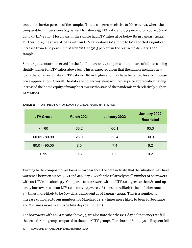accounted for 6.2 percent of the sample. This is a decrease relative to March 2021, where the comparable numbers were 0.3 percentfor above 95 LTV ratio and 8.5 percent for above 80 and up to 95 LTV ratio. Mostloans in the sample had LTV ratios at or below 80 in January 2022. Furthermore, the share of loans with an LTV ratio above 60 and up to 80 reported a significant increase from 26.0 percent in March 2021 to 30.3 percent in the restricted January 2022 sample.

Similar patterns are observed for the full January 2022 sample with the share of all loans being slightly higher for LTV ratios above 60. This is expected given that the sample includes new loans that often originate at LTV ratios of 80 or higher and may have benefited less from house price appreciation. Overall, the data are not inconsistent with house price appreciation having increased the home equity of many borrowerswho started the pandemic with relatively higher LTV ratios.

| <b>LTV Group</b> | <b>March 2021</b> | January 2022 | January 2022<br><b>Restricted</b> |
|------------------|-------------------|--------------|-----------------------------------|
| $= 60$           | 65.2              | 60.1         | 63.3                              |
| $60.01 - 80.00$  | 26.0              | 32.4         | 30.3                              |
| $80.01 - 95.00$  | 8.5               | 7.4          | 6.2                               |
| > 95             | 0.3               | 0.2          | 0.2                               |

#### **TABLE 2:** DISTRIBUTION OF LOAN-TO-VALUE RATIO BY SAMPLE

Turning to the composition of loans in forbearance, the data indicate that the situation may have worsened between March 2021 and January 2022 for the relatively small number of borrowers with an LTV ratio above 95. Compared to borrowers with an LTV ratio greater than 80 and up to 95, borrowers with an LTV ratio above 95 were 2.6 times more likely to be in forbearance and 8.5 times more likely to be 60+ days delinquent as of January 2022. This is a significant increase compared to our numbers for March 2021 (1.7 times more likely to be in forbearance and 7.4 times more likely to be 60+ days delinquent).

For borrowers with an LTV ratio above 95, we also note that the 60+ day delinquency rate fell the least for this group compared to the other LTV groups. The share of 60+ days delinquent fell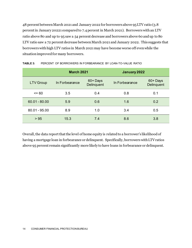48 percent between March 2021 and January 2022 for borrowers above 95 LTV ratio (3.8 percent in January 20221 compared to 7.4 percent in March 2021). Borrowers with an LTV ratio above 80 and up to 95 saw a 54 percent decrease and borrowers above 60 and up to 80 LTV ratio saw a 72 percent decrease between March 2021 and January 2022. This suggests that borrowers with high LTV ratios in March 2021may have become worse off even while the situation improved for many borrowers.

|                  | <b>March 2021</b> |                       | January 2022   |                       |
|------------------|-------------------|-----------------------|----------------|-----------------------|
| <b>LTV Group</b> | In Forbearance    | 60+Days<br>Delinquent | In Forbearance | 60+Days<br>Delinquent |
| $\leq$ 60        | 3.5               | 0.4                   | 0.8            | 0.1                   |
| $60.01 - 80.00$  | 5.9               | 0.6                   | 1.6            | 0.2                   |
| $80.01 - 95.00$  | 8.9               | 1.0                   | 3.4            | 0.5                   |
| > 95             | 15.3              | 7.4                   | 8.6            | 3.8                   |

| TABLE 3: |  | PERCENT OF BORROWERS IN FORBEARANCE BY LOAN-TO-VALUE RATIO |
|----------|--|------------------------------------------------------------|
|          |  |                                                            |

Overall, the data report that the level of home equity is related to a borrower's likelihood of having a mortgage loan in forbearance or delinquent. Specifically, borrowers with LTVratios above 95 percent remain significantly more likely to have loans in forbearance or delinquent.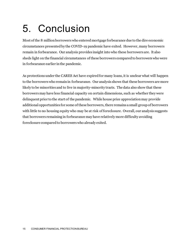# 5. Conclusion

Most of the 8 million borrowers who enteredmortgage forbearance due to the dire economic circumstances presented by the COVID-19 pandemic have exited. However, many borrowers remain in forbearance. Our analysis provides insight into who these borrowers are. It also sheds light on the financial circumstances of these borrowers compared to borrowers who were in forbearance earlier in the pandemic.

As protections under the CARES Act have expired for many loans, it is unclear what will happen to the borrowers who remain in forbearance. Our analysis shows that these borrowers are more likely to be minorities and to live in majority-minority tracts. The data also show that these borrowers may have less financial capacity on certain dimensions, such as whether they were delinquent prior to the start of the pandemic. While house price appreciation may provide additional opportunities for some of these borrowers, there remains a small group of borrowers with little to no housing equity who may be at risk of foreclosure. Overall, our analysis suggests that borrowers remaining in forbearance may have relatively more difficulty avoiding foreclosure compared to borrowers who already exited.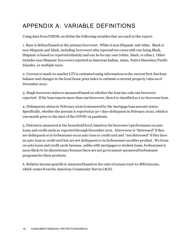### APPENDIX A: VARIABLE DEFINITIONS

Using data from NMDB, we define the following variables that are used in this report:

1. Race is defined based on the primary borrower. White is non-Hispanic and white. Black is non-Hispanic and black, including borrowers who reported two races with one being Black. Hispanic is based on reported ethnicity and can be for any race (white, black, or other). Other includes non-Hispanic borrowers reported as American Indian, Asian, Native Hawaiian/Pacific Islander, or multiple races.

2. Current or mark-to-market LTV is estimated using information on the current first-lien loan balance and changes in the local home price index to estimate a current property value as of December 2021.

3. Single borrower status is measured based on whether the loan has only one borrower reported. If the loan reports more than one borrower, then it is classified as a co-borrower loan.

4. Delinquency status in February 2020 is measuredby the mortgage loan account status. Specifically, whether the account is reported as 30+ days delinquent in February 2020, which is one month prior to the start of the COVID-19 pandemic.

5. Distress is measuredat the household level, based on the borrower's performance on auto loans and credit cards as reported through December 2021. A borrower is "distressed" if they are delinquent or in forbearance on an auto loan or credit card and "not distressed" if they have an auto loan or credit card but are not delinquent or in forbearance on either product. We focus on auto loans and credit cards because, unlike with mortgages or student loans, forbearance is more likely to be discretionary because there are not government-sponsored forbearance programs for these products.

6. Relative income quartile is measured based on the ratio of census tract-to-MSAincome, which comes from the American Community Survey (ACS).